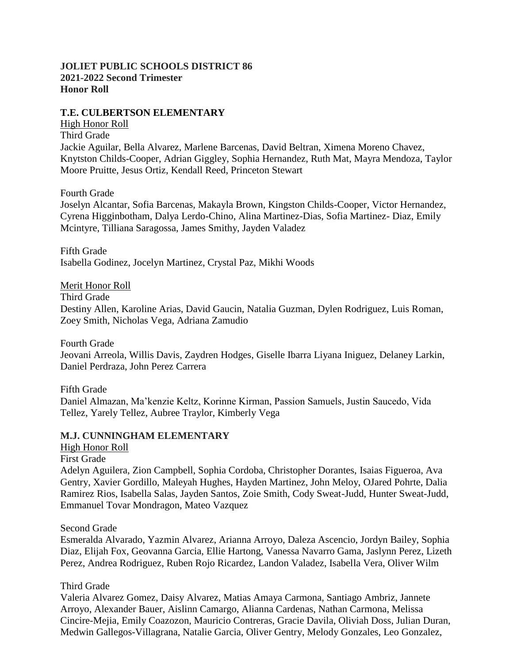# **JOLIET PUBLIC SCHOOLS DISTRICT 86 2021-2022 Second Trimester Honor Roll**

# **T.E. CULBERTSON ELEMENTARY**

High Honor Roll Third Grade Jackie Aguilar, Bella Alvarez, Marlene Barcenas, David Beltran, Ximena Moreno Chavez, Knytston Childs-Cooper, Adrian Giggley, Sophia Hernandez, Ruth Mat, Mayra Mendoza, Taylor Moore Pruitte, Jesus Ortiz, Kendall Reed, Princeton Stewart

Fourth Grade

Joselyn Alcantar, Sofia Barcenas, Makayla Brown, Kingston Childs-Cooper, Victor Hernandez, Cyrena Higginbotham, Dalya Lerdo-Chino, Alina Martinez-Dias, Sofia Martinez- Diaz, Emily Mcintyre, Tilliana Saragossa, James Smithy, Jayden Valadez

Fifth Grade Isabella Godinez, Jocelyn Martinez, Crystal Paz, Mikhi Woods

Merit Honor Roll

Third Grade

Destiny Allen, Karoline Arias, David Gaucin, Natalia Guzman, Dylen Rodriguez, Luis Roman, Zoey Smith, Nicholas Vega, Adriana Zamudio

Fourth Grade Jeovani Arreola, Willis Davis, Zaydren Hodges, Giselle Ibarra Liyana Iniguez, Delaney Larkin, Daniel Perdraza, John Perez Carrera

Fifth Grade Daniel Almazan, Ma'kenzie Keltz, Korinne Kirman, Passion Samuels, Justin Saucedo, Vida Tellez, Yarely Tellez, Aubree Traylor, Kimberly Vega

# **M.J. CUNNINGHAM ELEMENTARY**

- High Honor Roll
- First Grade

Adelyn Aguilera, Zion Campbell, Sophia Cordoba, Christopher Dorantes, Isaias Figueroa, Ava Gentry, Xavier Gordillo, Maleyah Hughes, Hayden Martinez, John Meloy, OJared Pohrte, Dalia Ramirez Rios, Isabella Salas, Jayden Santos, Zoie Smith, Cody Sweat-Judd, Hunter Sweat-Judd, Emmanuel Tovar Mondragon, Mateo Vazquez

Second Grade

Esmeralda Alvarado, Yazmin Alvarez, Arianna Arroyo, Daleza Ascencio, Jordyn Bailey, Sophia Diaz, Elijah Fox, Geovanna Garcia, Ellie Hartong, Vanessa Navarro Gama, Jaslynn Perez, Lizeth Perez, Andrea Rodriguez, Ruben Rojo Ricardez, Landon Valadez, Isabella Vera, Oliver Wilm

# Third Grade

Valeria Alvarez Gomez, Daisy Alvarez, Matias Amaya Carmona, Santiago Ambriz, Jannete Arroyo, Alexander Bauer, Aislinn Camargo, Alianna Cardenas, Nathan Carmona, Melissa Cincire-Mejia, Emily Coazozon, Mauricio Contreras, Gracie Davila, Oliviah Doss, Julian Duran, Medwin Gallegos-Villagrana, Natalie Garcia, Oliver Gentry, Melody Gonzales, Leo Gonzalez,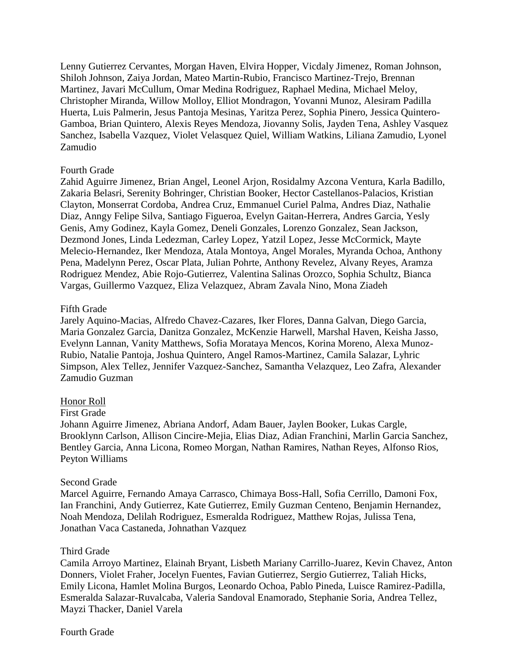Lenny Gutierrez Cervantes, Morgan Haven, Elvira Hopper, Vicdaly Jimenez, Roman Johnson, Shiloh Johnson, Zaiya Jordan, Mateo Martin-Rubio, Francisco Martinez-Trejo, Brennan Martinez, Javari McCullum, Omar Medina Rodriguez, Raphael Medina, Michael Meloy, Christopher Miranda, Willow Molloy, Elliot Mondragon, Yovanni Munoz, Alesiram Padilla Huerta, Luis Palmerin, Jesus Pantoja Mesinas, Yaritza Perez, Sophia Pinero, Jessica Quintero-Gamboa, Brian Quintero, Alexis Reyes Mendoza, Jiovanny Solis, Jayden Tena, Ashley Vasquez Sanchez, Isabella Vazquez, Violet Velasquez Quiel, William Watkins, Liliana Zamudio, Lyonel Zamudio

#### Fourth Grade

Zahid Aguirre Jimenez, Brian Angel, Leonel Arjon, Rosidalmy Azcona Ventura, Karla Badillo, Zakaria Belasri, Serenity Bohringer, Christian Booker, Hector Castellanos-Palacios, Kristian Clayton, Monserrat Cordoba, Andrea Cruz, Emmanuel Curiel Palma, Andres Diaz, Nathalie Diaz, Anngy Felipe Silva, Santiago Figueroa, Evelyn Gaitan-Herrera, Andres Garcia, Yesly Genis, Amy Godinez, Kayla Gomez, Deneli Gonzales, Lorenzo Gonzalez, Sean Jackson, Dezmond Jones, Linda Ledezman, Carley Lopez, Yatzil Lopez, Jesse McCormick, Mayte Melecio-Hernandez, Iker Mendoza, Atala Montoya, Angel Morales, Myranda Ochoa, Anthony Pena, Madelynn Perez, Oscar Plata, Julian Pohrte, Anthony Revelez, Alvany Reyes, Aramza Rodriguez Mendez, Abie Rojo-Gutierrez, Valentina Salinas Orozco, Sophia Schultz, Bianca Vargas, Guillermo Vazquez, Eliza Velazquez, Abram Zavala Nino, Mona Ziadeh

### Fifth Grade

Jarely Aquino-Macias, Alfredo Chavez-Cazares, Iker Flores, Danna Galvan, Diego Garcia, Maria Gonzalez Garcia, Danitza Gonzalez, McKenzie Harwell, Marshal Haven, Keisha Jasso, Evelynn Lannan, Vanity Matthews, Sofia Morataya Mencos, Korina Moreno, Alexa Munoz-Rubio, Natalie Pantoja, Joshua Quintero, Angel Ramos-Martinez, Camila Salazar, Lyhric Simpson, Alex Tellez, Jennifer Vazquez-Sanchez, Samantha Velazquez, Leo Zafra, Alexander Zamudio Guzman

# Honor Roll

#### First Grade

Johann Aguirre Jimenez, Abriana Andorf, Adam Bauer, Jaylen Booker, Lukas Cargle, Brooklynn Carlson, Allison Cincire-Mejia, Elias Diaz, Adian Franchini, Marlin Garcia Sanchez, Bentley Garcia, Anna Licona, Romeo Morgan, Nathan Ramires, Nathan Reyes, Alfonso Rios, Peyton Williams

#### Second Grade

Marcel Aguirre, Fernando Amaya Carrasco, Chimaya Boss-Hall, Sofia Cerrillo, Damoni Fox, Ian Franchini, Andy Gutierrez, Kate Gutierrez, Emily Guzman Centeno, Benjamin Hernandez, Noah Mendoza, Delilah Rodriguez, Esmeralda Rodriguez, Matthew Rojas, Julissa Tena, Jonathan Vaca Castaneda, Johnathan Vazquez

#### Third Grade

Camila Arroyo Martinez, Elainah Bryant, Lisbeth Mariany Carrillo-Juarez, Kevin Chavez, Anton Donners, Violet Fraher, Jocelyn Fuentes, Favian Gutierrez, Sergio Gutierrez, Taliah Hicks, Emily Licona, Hamlet Molina Burgos, Leonardo Ochoa, Pablo Pineda, Luisce Ramirez-Padilla, Esmeralda Salazar-Ruvalcaba, Valeria Sandoval Enamorado, Stephanie Soria, Andrea Tellez, Mayzi Thacker, Daniel Varela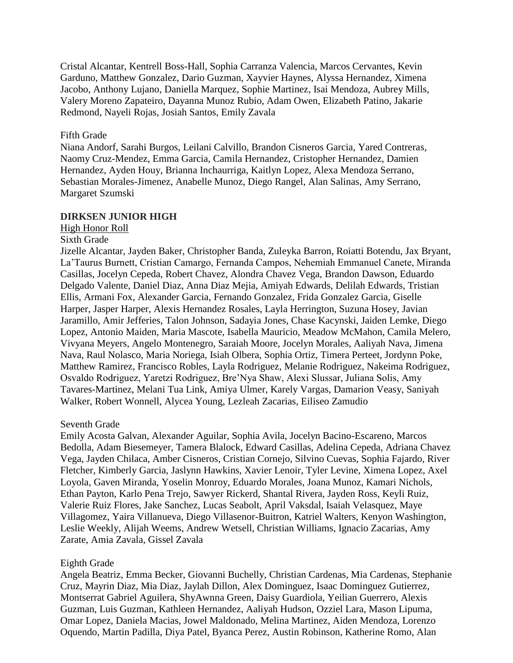Cristal Alcantar, Kentrell Boss-Hall, Sophia Carranza Valencia, Marcos Cervantes, Kevin Garduno, Matthew Gonzalez, Dario Guzman, Xayvier Haynes, Alyssa Hernandez, Ximena Jacobo, Anthony Lujano, Daniella Marquez, Sophie Martinez, Isai Mendoza, Aubrey Mills, Valery Moreno Zapateiro, Dayanna Munoz Rubio, Adam Owen, Elizabeth Patino, Jakarie Redmond, Nayeli Rojas, Josiah Santos, Emily Zavala

#### Fifth Grade

Niana Andorf, Sarahi Burgos, Leilani Calvillo, Brandon Cisneros Garcia, Yared Contreras, Naomy Cruz-Mendez, Emma Garcia, Camila Hernandez, Cristopher Hernandez, Damien Hernandez, Ayden Houy, Brianna Inchaurriga, Kaitlyn Lopez, Alexa Mendoza Serrano, Sebastian Morales-Jimenez, Anabelle Munoz, Diego Rangel, Alan Salinas, Amy Serrano, Margaret Szumski

### **DIRKSEN JUNIOR HIGH**

#### High Honor Roll

### Sixth Grade

Jizelle Alcantar, Jayden Baker, Christopher Banda, Zuleyka Barron, Roiatti Botendu, Jax Bryant, La'Taurus Burnett, Cristian Camargo, Fernanda Campos, Nehemiah Emmanuel Canete, Miranda Casillas, Jocelyn Cepeda, Robert Chavez, Alondra Chavez Vega, Brandon Dawson, Eduardo Delgado Valente, Daniel Diaz, Anna Diaz Mejia, Amiyah Edwards, Delilah Edwards, Tristian Ellis, Armani Fox, Alexander Garcia, Fernando Gonzalez, Frida Gonzalez Garcia, Giselle Harper, Jasper Harper, Alexis Hernandez Rosales, Layla Herrington, Suzuna Hosey, Javian Jaramillo, Amir Jefferies, Talon Johnson, Sadayia Jones, Chase Kacynski, Jaiden Lemke, Diego Lopez, Antonio Maiden, Maria Mascote, Isabella Mauricio, Meadow McMahon, Camila Melero, Vivyana Meyers, Angelo Montenegro, Saraiah Moore, Jocelyn Morales, Aaliyah Nava, Jimena Nava, Raul Nolasco, Maria Noriega, Isiah Olbera, Sophia Ortiz, Timera Perteet, Jordynn Poke, Matthew Ramirez, Francisco Robles, Layla Rodriguez, Melanie Rodriguez, Nakeima Rodriguez, Osvaldo Rodriguez, Yaretzi Rodriguez, Bre'Nya Shaw, Alexi Slussar, Juliana Solis, Amy Tavares-Martinez, Melani Tua Link, Amiya Ulmer, Karely Vargas, Damarion Veasy, Saniyah Walker, Robert Wonnell, Alycea Young, Lezleah Zacarias, Eiliseo Zamudio

#### Seventh Grade

Emily Acosta Galvan, Alexander Aguilar, Sophia Avila, Jocelyn Bacino-Escareno, Marcos Bedolla, Adam Biesemeyer, Tamera Blalock, Edward Casillas, Adelina Cepeda, Adriana Chavez Vega, Jayden Chilaca, Amber Cisneros, Cristian Cornejo, Silvino Cuevas, Sophia Fajardo, River Fletcher, Kimberly Garcia, Jaslynn Hawkins, Xavier Lenoir, Tyler Levine, Ximena Lopez, Axel Loyola, Gaven Miranda, Yoselin Monroy, Eduardo Morales, Joana Munoz, Kamari Nichols, Ethan Payton, Karlo Pena Trejo, Sawyer Rickerd, Shantal Rivera, Jayden Ross, Keyli Ruiz, Valerie Ruiz Flores, Jake Sanchez, Lucas Seabolt, April Vaksdal, Isaiah Velasquez, Maye Villagomez, Yaira Villanueva, Diego Villasenor-Buitron, Katriel Walters, Kenyon Washington, Leslie Weekly, Alijah Weems, Andrew Wetsell, Christian Williams, Ignacio Zacarias, Amy Zarate, Amia Zavala, Gissel Zavala

#### Eighth Grade

Angela Beatriz, Emma Becker, Giovanni Buchelly, Christian Cardenas, Mia Cardenas, Stephanie Cruz, Mayrin Diaz, Mia Diaz, Jaylah Dillon, Alex Dominguez, Isaac Dominguez Gutierrez, Montserrat Gabriel Aguilera, ShyAwnna Green, Daisy Guardiola, Yeilian Guerrero, Alexis Guzman, Luis Guzman, Kathleen Hernandez, Aaliyah Hudson, Ozziel Lara, Mason Lipuma, Omar Lopez, Daniela Macias, Jowel Maldonado, Melina Martinez, Aiden Mendoza, Lorenzo Oquendo, Martin Padilla, Diya Patel, Byanca Perez, Austin Robinson, Katherine Romo, Alan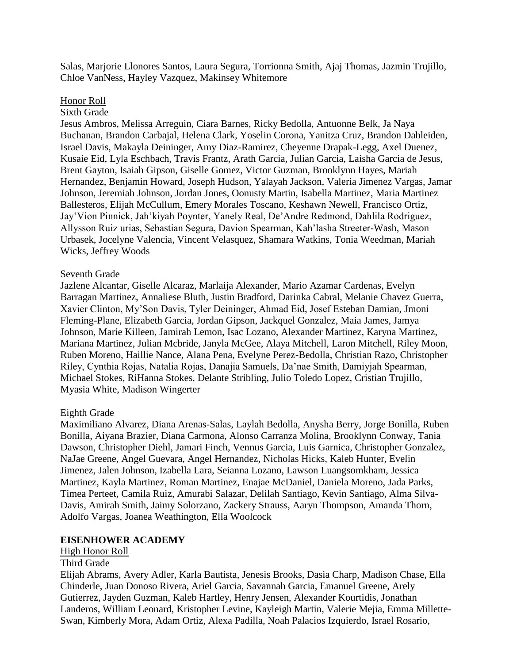Salas, Marjorie Llonores Santos, Laura Segura, Torrionna Smith, Ajaj Thomas, Jazmin Trujillo, Chloe VanNess, Hayley Vazquez, Makinsey Whitemore

#### Honor Roll

### Sixth Grade

Jesus Ambros, Melissa Arreguin, Ciara Barnes, Ricky Bedolla, Antuonne Belk, Ja Naya Buchanan, Brandon Carbajal, Helena Clark, Yoselin Corona, Yanitza Cruz, Brandon Dahleiden, Israel Davis, Makayla Deininger, Amy Diaz-Ramirez, Cheyenne Drapak-Legg, Axel Duenez, Kusaie Eid, Lyla Eschbach, Travis Frantz, Arath Garcia, Julian Garcia, Laisha Garcia de Jesus, Brent Gayton, Isaiah Gipson, Giselle Gomez, Victor Guzman, Brooklynn Hayes, Mariah Hernandez, Benjamin Howard, Joseph Hudson, Yalayah Jackson, Valeria Jimenez Vargas, Jamar Johnson, Jeremiah Johnson, Jordan Jones, Oonusty Martin, Isabella Martinez, Maria Martinez Ballesteros, Elijah McCullum, Emery Morales Toscano, Keshawn Newell, Francisco Ortiz, Jay'Vion Pinnick, Jah'kiyah Poynter, Yanely Real, De'Andre Redmond, Dahlila Rodriguez, Allysson Ruiz urias, Sebastian Segura, Davion Spearman, Kah'lasha Streeter-Wash, Mason Urbasek, Jocelyne Valencia, Vincent Velasquez, Shamara Watkins, Tonia Weedman, Mariah Wicks, Jeffrey Woods

#### Seventh Grade

Jazlene Alcantar, Giselle Alcaraz, Marlaija Alexander, Mario Azamar Cardenas, Evelyn Barragan Martinez, Annaliese Bluth, Justin Bradford, Darinka Cabral, Melanie Chavez Guerra, Xavier Clinton, My'Son Davis, Tyler Deininger, Ahmad Eid, Josef Esteban Damian, Jmoni Fleming-Plane, Elizabeth Garcia, Jordan Gipson, Jackquel Gonzalez, Maia James, Jamya Johnson, Marie Killeen, Jamirah Lemon, Isac Lozano, Alexander Martinez, Karyna Martinez, Mariana Martinez, Julian Mcbride, Janyla McGee, Alaya Mitchell, Laron Mitchell, Riley Moon, Ruben Moreno, Haillie Nance, Alana Pena, Evelyne Perez-Bedolla, Christian Razo, Christopher Riley, Cynthia Rojas, Natalia Rojas, Danajia Samuels, Da'nae Smith, Damiyjah Spearman, Michael Stokes, RiHanna Stokes, Delante Stribling, Julio Toledo Lopez, Cristian Trujillo, Myasia White, Madison Wingerter

#### Eighth Grade

Maximiliano Alvarez, Diana Arenas-Salas, Laylah Bedolla, Anysha Berry, Jorge Bonilla, Ruben Bonilla, Aiyana Brazier, Diana Carmona, Alonso Carranza Molina, Brooklynn Conway, Tania Dawson, Christopher Diehl, Jamari Finch, Vennus Garcia, Luis Garnica, Christopher Gonzalez, NaJae Greene, Angel Guevara, Angel Hernandez, Nicholas Hicks, Kaleb Hunter, Evelin Jimenez, Jalen Johnson, Izabella Lara, Seianna Lozano, Lawson Luangsomkham, Jessica Martinez, Kayla Martinez, Roman Martinez, Enajae McDaniel, Daniela Moreno, Jada Parks, Timea Perteet, Camila Ruiz, Amurabi Salazar, Delilah Santiago, Kevin Santiago, Alma Silva-Davis, Amirah Smith, Jaimy Solorzano, Zackery Strauss, Aaryn Thompson, Amanda Thorn, Adolfo Vargas, Joanea Weathington, Ella Woolcock

#### **EISENHOWER ACADEMY**

High Honor Roll

#### Third Grade

Elijah Abrams, Avery Adler, Karla Bautista, Jenesis Brooks, Dasia Charp, Madison Chase, Ella Chinderle, Juan Donoso Rivera, Ariel Garcia, Savannah Garcia, Emanuel Greene, Arely Gutierrez, Jayden Guzman, Kaleb Hartley, Henry Jensen, Alexander Kourtidis, Jonathan Landeros, William Leonard, Kristopher Levine, Kayleigh Martin, Valerie Mejia, Emma Millette-Swan, Kimberly Mora, Adam Ortiz, Alexa Padilla, Noah Palacios Izquierdo, Israel Rosario,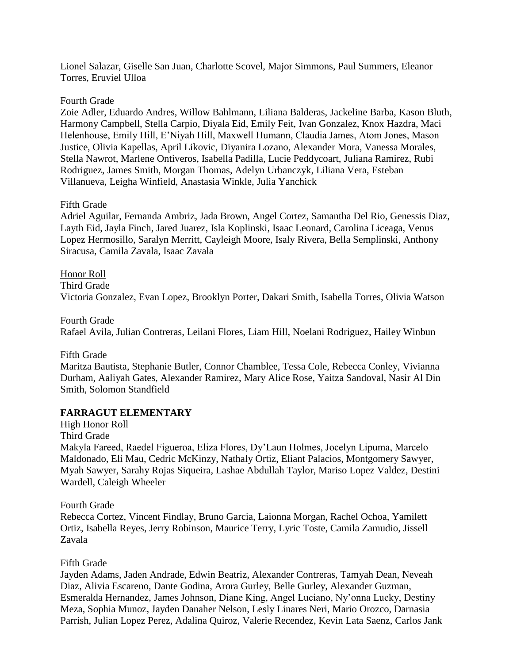Lionel Salazar, Giselle San Juan, Charlotte Scovel, Major Simmons, Paul Summers, Eleanor Torres, Eruviel Ulloa

### Fourth Grade

Zoie Adler, Eduardo Andres, Willow Bahlmann, Liliana Balderas, Jackeline Barba, Kason Bluth, Harmony Campbell, Stella Carpio, Diyala Eid, Emily Feit, Ivan Gonzalez, Knox Hazdra, Maci Helenhouse, Emily Hill, E'Niyah Hill, Maxwell Humann, Claudia James, Atom Jones, Mason Justice, Olivia Kapellas, April Likovic, Diyanira Lozano, Alexander Mora, Vanessa Morales, Stella Nawrot, Marlene Ontiveros, Isabella Padilla, Lucie Peddycoart, Juliana Ramirez, Rubi Rodriguez, James Smith, Morgan Thomas, Adelyn Urbanczyk, Liliana Vera, Esteban Villanueva, Leigha Winfield, Anastasia Winkle, Julia Yanchick

# Fifth Grade

Adriel Aguilar, Fernanda Ambriz, Jada Brown, Angel Cortez, Samantha Del Rio, Genessis Diaz, Layth Eid, Jayla Finch, Jared Juarez, Isla Koplinski, Isaac Leonard, Carolina Liceaga, Venus Lopez Hermosillo, Saralyn Merritt, Cayleigh Moore, Isaly Rivera, Bella Semplinski, Anthony Siracusa, Camila Zavala, Isaac Zavala

Honor Roll Third Grade Victoria Gonzalez, Evan Lopez, Brooklyn Porter, Dakari Smith, Isabella Torres, Olivia Watson

Fourth Grade Rafael Avila, Julian Contreras, Leilani Flores, Liam Hill, Noelani Rodriguez, Hailey Winbun

Fifth Grade

Maritza Bautista, Stephanie Butler, Connor Chamblee, Tessa Cole, Rebecca Conley, Vivianna Durham, Aaliyah Gates, Alexander Ramirez, Mary Alice Rose, Yaitza Sandoval, Nasir Al Din Smith, Solomon Standfield

# **FARRAGUT ELEMENTARY**

High Honor Roll

Third Grade

Makyla Fareed, Raedel Figueroa, Eliza Flores, Dy'Laun Holmes, Jocelyn Lipuma, Marcelo Maldonado, Eli Mau, Cedric McKinzy, Nathaly Ortiz, Eliant Palacios, Montgomery Sawyer, Myah Sawyer, Sarahy Rojas Siqueira, Lashae Abdullah Taylor, Mariso Lopez Valdez, Destini Wardell, Caleigh Wheeler

Fourth Grade

Rebecca Cortez, Vincent Findlay, Bruno Garcia, Laionna Morgan, Rachel Ochoa, Yamilett Ortiz, Isabella Reyes, Jerry Robinson, Maurice Terry, Lyric Toste, Camila Zamudio, Jissell Zavala

# Fifth Grade

Jayden Adams, Jaden Andrade, Edwin Beatriz, Alexander Contreras, Tamyah Dean, Neveah Diaz, Alivia Escareno, Dante Godina, Arora Gurley, Belle Gurley, Alexander Guzman, Esmeralda Hernandez, James Johnson, Diane King, Angel Luciano, Ny'onna Lucky, Destiny Meza, Sophia Munoz, Jayden Danaher Nelson, Lesly Linares Neri, Mario Orozco, Darnasia Parrish, Julian Lopez Perez, Adalina Quiroz, Valerie Recendez, Kevin Lata Saenz, Carlos Jank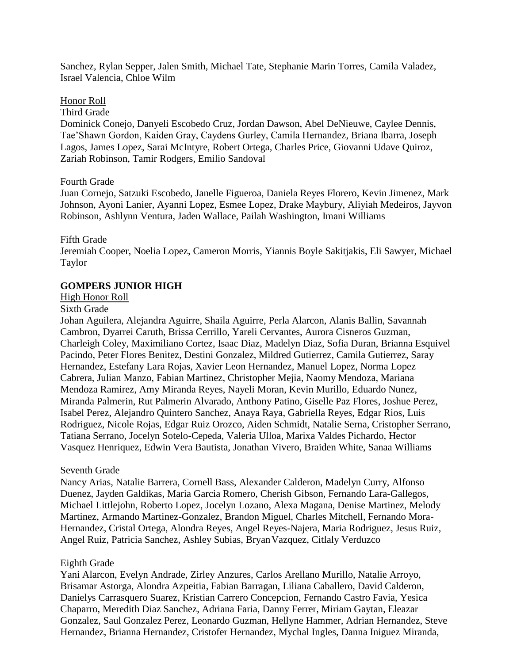Sanchez, Rylan Sepper, Jalen Smith, Michael Tate, Stephanie Marin Torres, Camila Valadez, Israel Valencia, Chloe Wilm

#### Honor Roll

Third Grade

Dominick Conejo, Danyeli Escobedo Cruz, Jordan Dawson, Abel DeNieuwe, Caylee Dennis, Tae'Shawn Gordon, Kaiden Gray, Caydens Gurley, Camila Hernandez, Briana Ibarra, Joseph Lagos, James Lopez, Sarai McIntyre, Robert Ortega, Charles Price, Giovanni Udave Quiroz, Zariah Robinson, Tamir Rodgers, Emilio Sandoval

#### Fourth Grade

Juan Cornejo, Satzuki Escobedo, Janelle Figueroa, Daniela Reyes Florero, Kevin Jimenez, Mark Johnson, Ayoni Lanier, Ayanni Lopez, Esmee Lopez, Drake Maybury, Aliyiah Medeiros, Jayvon Robinson, Ashlynn Ventura, Jaden Wallace, Pailah Washington, Imani Williams

#### Fifth Grade

Jeremiah Cooper, Noelia Lopez, Cameron Morris, Yiannis Boyle Sakitjakis, Eli Sawyer, Michael Taylor

### **GOMPERS JUNIOR HIGH**

#### High Honor Roll

### Sixth Grade

Johan Aguilera, Alejandra Aguirre, Shaila Aguirre, Perla Alarcon, Alanis Ballin, Savannah Cambron, Dyarrei Caruth, Brissa Cerrillo, Yareli Cervantes, Aurora Cisneros Guzman, Charleigh Coley, Maximiliano Cortez, Isaac Diaz, Madelyn Diaz, Sofia Duran, Brianna Esquivel Pacindo, Peter Flores Benitez, Destini Gonzalez, Mildred Gutierrez, Camila Gutierrez, Saray Hernandez, Estefany Lara Rojas, Xavier Leon Hernandez, Manuel Lopez, Norma Lopez Cabrera, Julian Manzo, Fabian Martinez, Christopher Mejia, Naomy Mendoza, Mariana Mendoza Ramirez, Amy Miranda Reyes, Nayeli Moran, Kevin Murillo, Eduardo Nunez, Miranda Palmerin, Rut Palmerin Alvarado, Anthony Patino, Giselle Paz Flores, Joshue Perez, Isabel Perez, Alejandro Quintero Sanchez, Anaya Raya, Gabriella Reyes, Edgar Rios, Luis Rodriguez, Nicole Rojas, Edgar Ruiz Orozco, Aiden Schmidt, Natalie Serna, Cristopher Serrano, Tatiana Serrano, Jocelyn Sotelo-Cepeda, Valeria Ulloa, Marixa Valdes Pichardo, Hector Vasquez Henriquez, Edwin Vera Bautista, Jonathan Vivero, Braiden White, Sanaa Williams

#### Seventh Grade

Nancy Arias, Natalie Barrera, Cornell Bass, Alexander Calderon, Madelyn Curry, Alfonso Duenez, Jayden Galdikas, Maria Garcia Romero, Cherish Gibson, Fernando Lara-Gallegos, Michael Littlejohn, Roberto Lopez, Jocelyn Lozano, Alexa Magana, Denise Martinez, Melody Martinez, Armando Martinez-Gonzalez, Brandon Miguel, Charles Mitchell, Fernando Mora-Hernandez, Cristal Ortega, Alondra Reyes, Angel Reyes-Najera, Maria Rodriguez, Jesus Ruiz, Angel Ruiz, Patricia Sanchez, Ashley Subias, BryanVazquez, Citlaly Verduzco

#### Eighth Grade

Yani Alarcon, Evelyn Andrade, Zirley Anzures, Carlos Arellano Murillo, Natalie Arroyo, Brisamar Astorga, Alondra Azpeitia, Fabian Barragan, Liliana Caballero, David Calderon, Danielys Carrasquero Suarez, Kristian Carrero Concepcion, Fernando Castro Favia, Yesica Chaparro, Meredith Diaz Sanchez, Adriana Faria, Danny Ferrer, Miriam Gaytan, Eleazar Gonzalez, Saul Gonzalez Perez, Leonardo Guzman, Hellyne Hammer, Adrian Hernandez, Steve Hernandez, Brianna Hernandez, Cristofer Hernandez, Mychal Ingles, Danna Iniguez Miranda,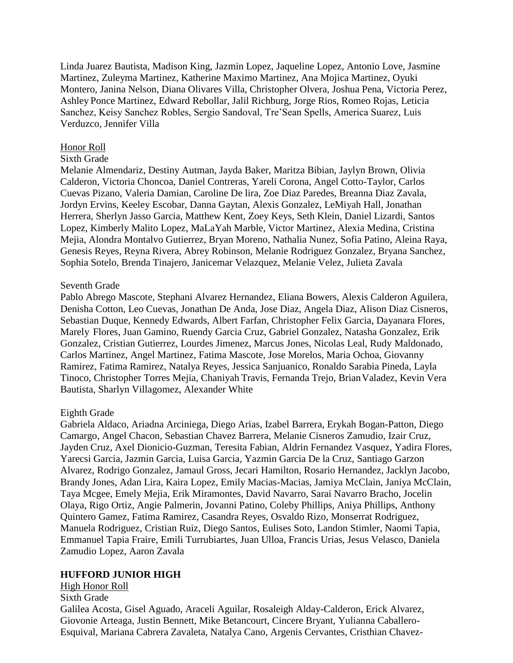Linda Juarez Bautista, Madison King, Jazmin Lopez, Jaqueline Lopez, Antonio Love, Jasmine Martinez, Zuleyma Martinez, Katherine Maximo Martinez, Ana Mojica Martinez, Oyuki Montero, Janina Nelson, Diana Olivares Villa, Christopher Olvera, Joshua Pena, Victoria Perez, Ashley Ponce Martinez, Edward Rebollar, Jalil Richburg, Jorge Rios, Romeo Rojas, Leticia Sanchez, Keisy Sanchez Robles, Sergio Sandoval, Tre'Sean Spells, America Suarez, Luis Verduzco, Jennifer Villa

#### Honor Roll

#### Sixth Grade

Melanie Almendariz, Destiny Autman, Jayda Baker, Maritza Bibian, Jaylyn Brown, Olivia Calderon, Victoria Choncoa, Daniel Contreras, Yareli Corona, Angel Cotto-Taylor, Carlos Cuevas Pizano, Valeria Damian, Caroline De lira, Zoe Diaz Paredes, Breanna Diaz Zavala, Jordyn Ervins, Keeley Escobar, Danna Gaytan, Alexis Gonzalez, LeMiyah Hall, Jonathan Herrera, Sherlyn Jasso Garcia, Matthew Kent, Zoey Keys, Seth Klein, Daniel Lizardi, Santos Lopez, Kimberly Malito Lopez, MaLaYah Marble, Victor Martinez, Alexia Medina, Cristina Mejia, Alondra Montalvo Gutierrez, Bryan Moreno, Nathalia Nunez, Sofia Patino, Aleina Raya, Genesis Reyes, Reyna Rivera, Abrey Robinson, Melanie Rodriguez Gonzalez, Bryana Sanchez, Sophia Sotelo, Brenda Tinajero, Janicemar Velazquez, Melanie Velez, Julieta Zavala

#### Seventh Grade

Pablo Abrego Mascote, Stephani Alvarez Hernandez, Eliana Bowers, Alexis Calderon Aguilera, Denisha Cotton, Leo Cuevas, Jonathan De Anda, Jose Diaz, Angela Diaz, Alison Diaz Cisneros, Sebastian Duque, Kennedy Edwards, Albert Farfan, Christopher Felix Garcia, Dayanara Flores, Marely Flores, Juan Gamino, Ruendy Garcia Cruz, Gabriel Gonzalez, Natasha Gonzalez, Erik Gonzalez, Cristian Gutierrez, Lourdes Jimenez, Marcus Jones, Nicolas Leal, Rudy Maldonado, Carlos Martinez, Angel Martinez, Fatima Mascote, Jose Morelos, Maria Ochoa, Giovanny Ramirez, Fatima Ramirez, Natalya Reyes, Jessica Sanjuanico, Ronaldo Sarabia Pineda, Layla Tinoco, Christopher Torres Mejia, Chaniyah Travis, Fernanda Trejo, BrianValadez, Kevin Vera Bautista, Sharlyn Villagomez, Alexander White

#### Eighth Grade

Gabriela Aldaco, Ariadna Arciniega, Diego Arias, Izabel Barrera, Erykah Bogan-Patton, Diego Camargo, Angel Chacon, Sebastian Chavez Barrera, Melanie Cisneros Zamudio, Izair Cruz, Jayden Cruz, Axel Dionicio-Guzman, Teresita Fabian, Aldrin Fernandez Vasquez, Yadira Flores, Yarecsi Garcia, Jazmin Garcia, Luisa Garcia, Yazmin Garcia De la Cruz, Santiago Garzon Alvarez, Rodrigo Gonzalez, Jamaul Gross, Jecari Hamilton, Rosario Hernandez, Jacklyn Jacobo, Brandy Jones, Adan Lira, Kaira Lopez, Emily Macias-Macias, Jamiya McClain, Janiya McClain, Taya Mcgee, Emely Mejia, Erik Miramontes, David Navarro, Sarai Navarro Bracho, Jocelin Olaya, Rigo Ortiz, Angie Palmerin, Jovanni Patino, Coleby Phillips, Aniya Phillips, Anthony Quintero Gamez, Fatima Ramirez, Casandra Reyes, Osvaldo Rizo, Monserrat Rodriguez, Manuela Rodriguez, Cristian Ruiz, Diego Santos, Eulises Soto, Landon Stimler, Naomi Tapia, Emmanuel Tapia Fraire, Emili Turrubiartes, Juan Ulloa, Francis Urias, Jesus Velasco, Daniela Zamudio Lopez, Aaron Zavala

#### **HUFFORD JUNIOR HIGH**

# High Honor Roll Sixth Grade Galilea Acosta, Gisel Aguado, Araceli Aguilar, Rosaleigh Alday-Calderon, Erick Alvarez, Giovonie Arteaga, Justin Bennett, Mike Betancourt, Cincere Bryant, Yulianna Caballero-Esquival, Mariana Cabrera Zavaleta, Natalya Cano, Argenis Cervantes, Cristhian Chavez-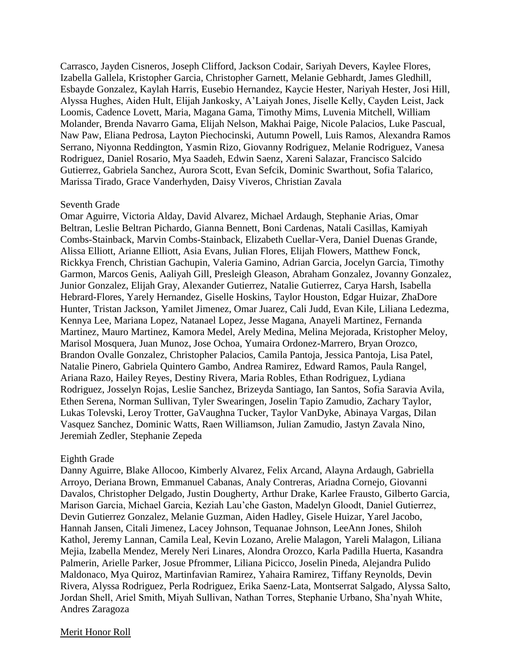Carrasco, Jayden Cisneros, Joseph Clifford, Jackson Codair, Sariyah Devers, Kaylee Flores, Izabella Gallela, Kristopher Garcia, Christopher Garnett, Melanie Gebhardt, James Gledhill, Esbayde Gonzalez, Kaylah Harris, Eusebio Hernandez, Kaycie Hester, Nariyah Hester, Josi Hill, Alyssa Hughes, Aiden Hult, Elijah Jankosky, A'Laiyah Jones, Jiselle Kelly, Cayden Leist, Jack Loomis, Cadence Lovett, Maria, Magana Gama, Timothy Mims, Luvenia Mitchell, William Molander, Brenda Navarro Gama, Elijah Nelson, Makhai Paige, Nicole Palacios, Luke Pascual, Naw Paw, Eliana Pedrosa, Layton Piechocinski, Autumn Powell, Luis Ramos, Alexandra Ramos Serrano, Niyonna Reddington, Yasmin Rizo, Giovanny Rodriguez, Melanie Rodriguez, Vanesa Rodriguez, Daniel Rosario, Mya Saadeh, Edwin Saenz, Xareni Salazar, Francisco Salcido Gutierrez, Gabriela Sanchez, Aurora Scott, Evan Sefcik, Dominic Swarthout, Sofia Talarico, Marissa Tirado, Grace Vanderhyden, Daisy Viveros, Christian Zavala

#### Seventh Grade

Omar Aguirre, Victoria Alday, David Alvarez, Michael Ardaugh, Stephanie Arias, Omar Beltran, Leslie Beltran Pichardo, Gianna Bennett, Boni Cardenas, Natali Casillas, Kamiyah Combs-Stainback, Marvin Combs-Stainback, Elizabeth Cuellar-Vera, Daniel Duenas Grande, Alissa Elliott, Arianne Elliott, Asia Evans, Julian Flores, Elijah Flowers, Matthew Fonck, Rickkya French, Christian Gachupin, Valeria Gamino, Adrian Garcia, Jocelyn Garcia, Timothy Garmon, Marcos Genis, Aaliyah Gill, Presleigh Gleason, Abraham Gonzalez, Jovanny Gonzalez, Junior Gonzalez, Elijah Gray, Alexander Gutierrez, Natalie Gutierrez, Carya Harsh, Isabella Hebrard-Flores, Yarely Hernandez, Giselle Hoskins, Taylor Houston, Edgar Huizar, ZhaDore Hunter, Tristan Jackson, Yamilet Jimenez, Omar Juarez, Cali Judd, Evan Kile, Liliana Ledezma, Kennya Lee, Mariana Lopez, Natanael Lopez, Jesse Magana, Anayeli Martinez, Fernanda Martinez, Mauro Martinez, Kamora Medel, Arely Medina, Melina Mejorada, Kristopher Meloy, Marisol Mosquera, Juan Munoz, Jose Ochoa, Yumaira Ordonez-Marrero, Bryan Orozco, Brandon Ovalle Gonzalez, Christopher Palacios, Camila Pantoja, Jessica Pantoja, Lisa Patel, Natalie Pinero, Gabriela Quintero Gambo, Andrea Ramirez, Edward Ramos, Paula Rangel, Ariana Razo, Hailey Reyes, Destiny Rivera, Maria Robles, Ethan Rodriguez, Lydiana Rodriguez, Josselyn Rojas, Leslie Sanchez, Brizeyda Santiago, Ian Santos, Sofia Saravia Avila, Ethen Serena, Norman Sullivan, Tyler Swearingen, Joselin Tapio Zamudio, Zachary Taylor, Lukas Tolevski, Leroy Trotter, GaVaughna Tucker, Taylor VanDyke, Abinaya Vargas, Dilan Vasquez Sanchez, Dominic Watts, Raen Williamson, Julian Zamudio, Jastyn Zavala Nino, Jeremiah Zedler, Stephanie Zepeda

#### Eighth Grade

Danny Aguirre, Blake Allocoo, Kimberly Alvarez, Felix Arcand, Alayna Ardaugh, Gabriella Arroyo, Deriana Brown, Emmanuel Cabanas, Analy Contreras, Ariadna Cornejo, Giovanni Davalos, Christopher Delgado, Justin Dougherty, Arthur Drake, Karlee Frausto, Gilberto Garcia, Marison Garcia, Michael Garcia, Keziah Lau'che Gaston, Madelyn Gloodt, Daniel Gutierrez, Devin Gutierrez Gonzalez, Melanie Guzman, Aiden Hadley, Gisele Huizar, Yarel Jacobo, Hannah Jansen, Citali Jimenez, Lacey Johnson, Tequanae Johnson, LeeAnn Jones, Shiloh Kathol, Jeremy Lannan, Camila Leal, Kevin Lozano, Arelie Malagon, Yareli Malagon, Liliana Mejia, Izabella Mendez, Merely Neri Linares, Alondra Orozco, Karla Padilla Huerta, Kasandra Palmerin, Arielle Parker, Josue Pfrommer, Liliana Picicco, Joselin Pineda, Alejandra Pulido Maldonaco, Mya Quiroz, Martinfavian Ramirez, Yahaira Ramirez, Tiffany Reynolds, Devin Rivera, Alyssa Rodriguez, Perla Rodriguez, Erika Saenz-Lata, Montserrat Salgado, Alyssa Salto, Jordan Shell, Ariel Smith, Miyah Sullivan, Nathan Torres, Stephanie Urbano, Sha'nyah White, Andres Zaragoza

#### Merit Honor Roll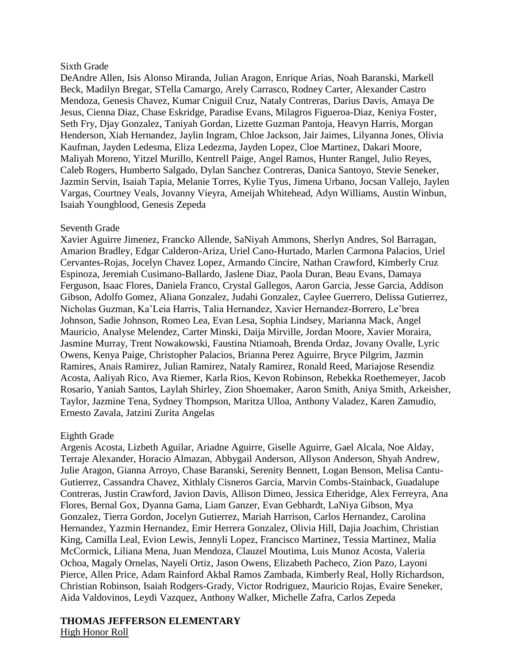### Sixth Grade

DeAndre Allen, Isis Alonso Miranda, Julian Aragon, Enrique Arias, Noah Baranski, Markell Beck, Madilyn Bregar, STella Camargo, Arely Carrasco, Rodney Carter, Alexander Castro Mendoza, Genesis Chavez, Kumar Cniguil Cruz, Nataly Contreras, Darius Davis, Amaya De Jesus, Cienna Diaz, Chase Eskridge, Paradise Evans, Milagros Figueroa-Diaz, Keniya Foster, Seth Fry, Djay Gonzalez, Taniyah Gordan, Lizette Guzman Pantoja, Heavyn Harris, Morgan Henderson, Xiah Hernandez, Jaylin Ingram, Chloe Jackson, Jair Jaimes, Lilyanna Jones, Olivia Kaufman, Jayden Ledesma, Eliza Ledezma, Jayden Lopez, Cloe Martinez, Dakari Moore, Maliyah Moreno, Yitzel Murillo, Kentrell Paige, Angel Ramos, Hunter Rangel, Julio Reyes, Caleb Rogers, Humberto Salgado, Dylan Sanchez Contreras, Danica Santoyo, Stevie Seneker, Jazmin Servin, Isaiah Tapia, Melanie Torres, Kylie Tyus, Jimena Urbano, Jocsan Vallejo, Jaylen Vargas, Courtney Veals, Jovanny Vieyra, Ameijah Whitehead, Adyn Williams, Austin Winbun, Isaiah Youngblood, Genesis Zepeda

### Seventh Grade

Xavier Aguirre Jimenez, Francko Allende, SaNiyah Ammons, Sherlyn Andres, Sol Barragan, Amarion Bradley, Edgar Calderon-Ariza, Uriel Cano-Hurtado, Marlen Carmona Palacios, Uriel Cervantes-Rojas, Jocelyn Chavez Lopez, Armando Cincire, Nathan Crawford, Kimberly Cruz Espinoza, Jeremiah Cusimano-Ballardo, Jaslene Diaz, Paola Duran, Beau Evans, Damaya Ferguson, Isaac Flores, Daniela Franco, Crystal Gallegos, Aaron Garcia, Jesse Garcia, Addison Gibson, Adolfo Gomez, Aliana Gonzalez, Judahi Gonzalez, Caylee Guerrero, Delissa Gutierrez, Nicholas Guzman, Ka'Leia Harris, Talia Hernandez, Xavier Hernandez-Borrero, Le'brea Johnson, Sadie Johnson, Romeo Lea, Evan Lesa, Sophia Lindsey, Marianna Mack, Angel Mauricio, Analyse Melendez, Carter Minski, Daija Mirville, Jordan Moore, Xavier Moraira, Jasmine Murray, Trent Nowakowski, Faustina Ntiamoah, Brenda Ordaz, Jovany Ovalle, Lyric Owens, Kenya Paige, Christopher Palacios, Brianna Perez Aguirre, Bryce Pilgrim, Jazmin Ramires, Anais Ramirez, Julian Ramirez, Nataly Ramirez, Ronald Reed, Mariajose Resendiz Acosta, Aaliyah Rico, Ava Riemer, Karla Rios, Kevon Robinson, Rebekka Roethemeyer, Jacob Rosario, Yaniah Santos, Laylah Shirley, Zion Shoemaker, Aaron Smith, Aniya Smith, Arkeisher, Taylor, Jazmine Tena, Sydney Thompson, Maritza Ulloa, Anthony Valadez, Karen Zamudio, Ernesto Zavala, Jatzini Zurita Angelas

# Eighth Grade

Argenis Acosta, Lizbeth Aguilar, Ariadne Aguirre, Giselle Aguirre, Gael Alcala, Noe Alday, Terraje Alexander, Horacio Almazan, Abbygail Anderson, Allyson Anderson, Shyah Andrew, Julie Aragon, Gianna Arroyo, Chase Baranski, Serenity Bennett, Logan Benson, Melisa Cantu-Gutierrez, Cassandra Chavez, Xithlaly Cisneros Garcia, Marvin Combs-Stainback, Guadalupe Contreras, Justin Crawford, Javion Davis, Allison Dimeo, Jessica Etheridge, Alex Ferreyra, Ana Flores, Bernal Gox, Dyanna Gama, Liam Ganzer, Evan Gebhardt, LaNiya Gibson, Mya Gonzalez, Tierra Gordon, Jocelyn Gutierrez, Mariah Harrison, Carlos Hernandez, Carolina Hernandez, Yazmin Hernandez, Emir Herrera Gonzalez, Olivia Hill, Dajia Joachim, Christian King, Camilla Leal, Evion Lewis, Jennyli Lopez, Francisco Martinez, Tessia Martinez, Malia McCormick, Liliana Mena, Juan Mendoza, Clauzel Moutima, Luis Munoz Acosta, Valeria Ochoa, Magaly Ornelas, Nayeli Ortiz, Jason Owens, Elizabeth Pacheco, Zion Pazo, Layoni Pierce, Allen Price, Adam Rainford Akbal Ramos Zambada, Kimberly Real, Holly Richardson, Christian Robinson, Isaiah Rodgers-Grady, Victor Rodriguez, Mauricio Rojas, Evaire Seneker, Aida Valdovinos, Leydi Vazquez, Anthony Walker, Michelle Zafra, Carlos Zepeda

# **THOMAS JEFFERSON ELEMENTARY**

High Honor Roll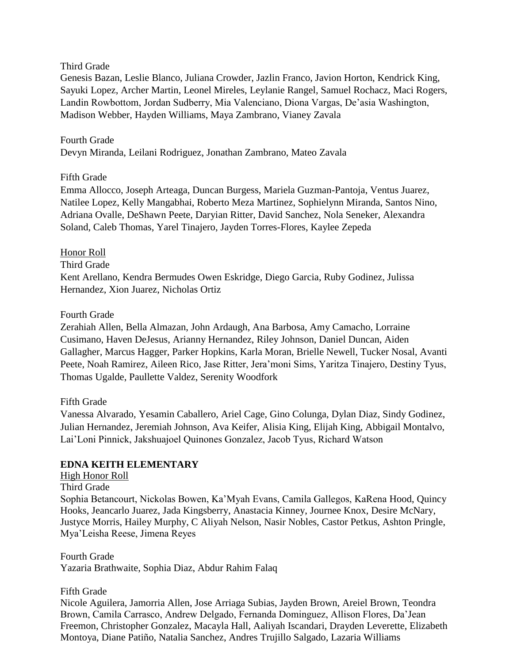# Third Grade

Genesis Bazan, Leslie Blanco, Juliana Crowder, Jazlin Franco, Javion Horton, Kendrick King, Sayuki Lopez, Archer Martin, Leonel Mireles, Leylanie Rangel, Samuel Rochacz, Maci Rogers, Landin Rowbottom, Jordan Sudberry, Mia Valenciano, Diona Vargas, De'asia Washington, Madison Webber, Hayden Williams, Maya Zambrano, Vianey Zavala

# Fourth Grade

Devyn Miranda, Leilani Rodriguez, Jonathan Zambrano, Mateo Zavala

# Fifth Grade

Emma Allocco, Joseph Arteaga, Duncan Burgess, Mariela Guzman-Pantoja, Ventus Juarez, Natilee Lopez, Kelly Mangabhai, Roberto Meza Martinez, Sophielynn Miranda, Santos Nino, Adriana Ovalle, DeShawn Peete, Daryian Ritter, David Sanchez, Nola Seneker, Alexandra Soland, Caleb Thomas, Yarel Tinajero, Jayden Torres-Flores, Kaylee Zepeda

# Honor Roll

Third Grade

Kent Arellano, Kendra Bermudes Owen Eskridge, Diego Garcia, Ruby Godinez, Julissa Hernandez, Xion Juarez, Nicholas Ortiz

# Fourth Grade

Zerahiah Allen, Bella Almazan, John Ardaugh, Ana Barbosa, Amy Camacho, Lorraine Cusimano, Haven DeJesus, Arianny Hernandez, Riley Johnson, Daniel Duncan, Aiden Gallagher, Marcus Hagger, Parker Hopkins, Karla Moran, Brielle Newell, Tucker Nosal, Avanti Peete, Noah Ramirez, Aileen Rico, Jase Ritter, Jera'moni Sims, Yaritza Tinajero, Destiny Tyus, Thomas Ugalde, Paullette Valdez, Serenity Woodfork

# Fifth Grade

Vanessa Alvarado, Yesamin Caballero, Ariel Cage, Gino Colunga, Dylan Diaz, Sindy Godinez, Julian Hernandez, Jeremiah Johnson, Ava Keifer, Alisia King, Elijah King, Abbigail Montalvo, Lai'Loni Pinnick, Jakshuajoel Quinones Gonzalez, Jacob Tyus, Richard Watson

# **EDNA KEITH ELEMENTARY**

# High Honor Roll

#### Third Grade

Sophia Betancourt, Nickolas Bowen, Ka'Myah Evans, Camila Gallegos, KaRena Hood, Quincy Hooks, Jeancarlo Juarez, Jada Kingsberry, Anastacia Kinney, Journee Knox, Desire McNary, Justyce Morris, Hailey Murphy, C Aliyah Nelson, Nasir Nobles, Castor Petkus, Ashton Pringle, Mya'Leisha Reese, Jimena Reyes

Fourth Grade Yazaria Brathwaite, Sophia Diaz, Abdur Rahim Falaq

# Fifth Grade

Nicole Aguilera, Jamorria Allen, Jose Arriaga Subias, Jayden Brown, Areiel Brown, Teondra Brown, Camila Carrasco, Andrew Delgado, Fernanda Dominguez, Allison Flores, Da'Jean Freemon, Christopher Gonzalez, Macayla Hall, Aaliyah Iscandari, Drayden Leverette, Elizabeth Montoya, Diane Patiño, Natalia Sanchez, Andres Trujillo Salgado, Lazaria Williams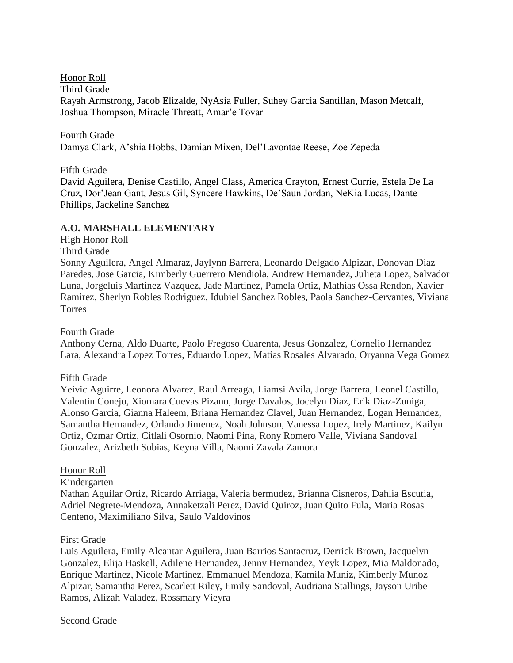Honor Roll

Third Grade

Rayah Armstrong, Jacob Elizalde, NyAsia Fuller, Suhey Garcia Santillan, Mason Metcalf, Joshua Thompson, Miracle Threatt, Amar'e Tovar

Fourth Grade Damya Clark, A'shia Hobbs, Damian Mixen, Del'Lavontae Reese, Zoe Zepeda

Fifth Grade

David Aguilera, Denise Castillo, Angel Class, America Crayton, Ernest Currie, Estela De La Cruz, Dor'Jean Gant, Jesus Gil, Syncere Hawkins, De'Saun Jordan, NeKia Lucas, Dante Phillips, Jackeline Sanchez

# **A.O. MARSHALL ELEMENTARY**

# High Honor Roll

Third Grade

Sonny Aguilera, Angel Almaraz, Jaylynn Barrera, Leonardo Delgado Alpizar, Donovan Diaz Paredes, Jose Garcia, Kimberly Guerrero Mendiola, Andrew Hernandez, Julieta Lopez, Salvador Luna, Jorgeluis Martinez Vazquez, Jade Martinez, Pamela Ortiz, Mathias Ossa Rendon, Xavier Ramirez, Sherlyn Robles Rodriguez, Idubiel Sanchez Robles, Paola Sanchez-Cervantes, Viviana Torres

Fourth Grade

Anthony Cerna, Aldo Duarte, Paolo Fregoso Cuarenta, Jesus Gonzalez, Cornelio Hernandez Lara, Alexandra Lopez Torres, Eduardo Lopez, Matias Rosales Alvarado, Oryanna Vega Gomez

Fifth Grade

Yeivic Aguirre, Leonora Alvarez, Raul Arreaga, Liamsi Avila, Jorge Barrera, Leonel Castillo, Valentin Conejo, Xiomara Cuevas Pizano, Jorge Davalos, Jocelyn Diaz, Erik Diaz-Zuniga, Alonso Garcia, Gianna Haleem, Briana Hernandez Clavel, Juan Hernandez, Logan Hernandez, Samantha Hernandez, Orlando Jimenez, Noah Johnson, Vanessa Lopez, Irely Martinez, Kailyn Ortiz, Ozmar Ortiz, Citlali Osornio, Naomi Pina, Rony Romero Valle, Viviana Sandoval Gonzalez, Arizbeth Subias, Keyna Villa, Naomi Zavala Zamora

# Honor Roll

Kindergarten

Nathan Aguilar Ortiz, Ricardo Arriaga, Valeria bermudez, Brianna Cisneros, Dahlia Escutia, Adriel Negrete-Mendoza, Annaketzali Perez, David Quiroz, Juan Quito Fula, Maria Rosas Centeno, Maximiliano Silva, Saulo Valdovinos

# First Grade

Luis Aguilera, Emily Alcantar Aguilera, Juan Barrios Santacruz, Derrick Brown, Jacquelyn Gonzalez, Elija Haskell, Adilene Hernandez, Jenny Hernandez, Yeyk Lopez, Mia Maldonado, Enrique Martinez, Nicole Martinez, Emmanuel Mendoza, Kamila Muniz, Kimberly Munoz Alpizar, Samantha Perez, Scarlett Riley, Emily Sandoval, Audriana Stallings, Jayson Uribe Ramos, Alizah Valadez, Rossmary Vieyra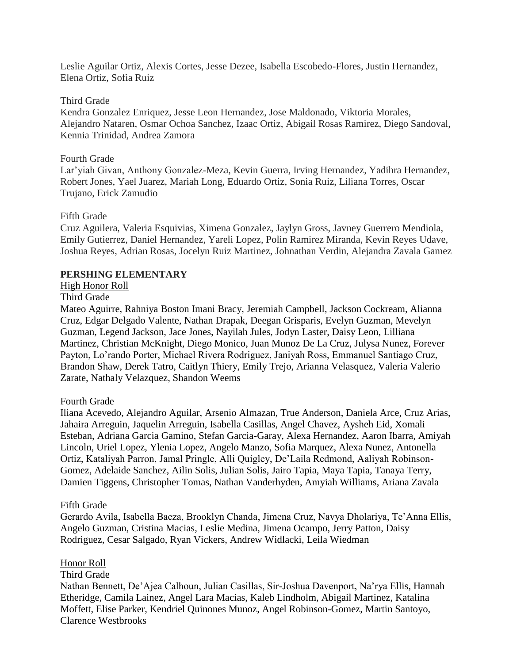Leslie Aguilar Ortiz, Alexis Cortes, Jesse Dezee, Isabella Escobedo-Flores, Justin Hernandez, Elena Ortiz, Sofia Ruiz

### Third Grade

Kendra Gonzalez Enriquez, Jesse Leon Hernandez, Jose Maldonado, Viktoria Morales, Alejandro Nataren, Osmar Ochoa Sanchez, Izaac Ortiz, Abigail Rosas Ramirez, Diego Sandoval, Kennia Trinidad, Andrea Zamora

### Fourth Grade

Lar'yiah Givan, Anthony Gonzalez-Meza, Kevin Guerra, Irving Hernandez, Yadihra Hernandez, Robert Jones, Yael Juarez, Mariah Long, Eduardo Ortiz, Sonia Ruiz, Liliana Torres, Oscar Trujano, Erick Zamudio

### Fifth Grade

Cruz Aguilera, Valeria Esquivias, Ximena Gonzalez, Jaylyn Gross, Javney Guerrero Mendiola, Emily Gutierrez, Daniel Hernandez, Yareli Lopez, Polin Ramirez Miranda, Kevin Reyes Udave, Joshua Reyes, Adrian Rosas, Jocelyn Ruiz Martinez, Johnathan Verdin, Alejandra Zavala Gamez

# **PERSHING ELEMENTARY**

# High Honor Roll

### Third Grade

Mateo Aguirre, Rahniya Boston Imani Bracy, Jeremiah Campbell, Jackson Cockream, Alianna Cruz, Edgar Delgado Valente, Nathan Drapak, Deegan Grisparis, Evelyn Guzman, Mevelyn Guzman, Legend Jackson, Jace Jones, Nayilah Jules, Jodyn Laster, Daisy Leon, Lilliana Martinez, Christian McKnight, Diego Monico, Juan Munoz De La Cruz, Julysa Nunez, Forever Payton, Lo'rando Porter, Michael Rivera Rodriguez, Janiyah Ross, Emmanuel Santiago Cruz, Brandon Shaw, Derek Tatro, Caitlyn Thiery, Emily Trejo, Arianna Velasquez, Valeria Valerio Zarate, Nathaly Velazquez, Shandon Weems

# Fourth Grade

Iliana Acevedo, Alejandro Aguilar, Arsenio Almazan, True Anderson, Daniela Arce, Cruz Arias, Jahaira Arreguin, Jaquelin Arreguin, Isabella Casillas, Angel Chavez, Aysheh Eid, Xomali Esteban, Adriana Garcia Gamino, Stefan Garcia-Garay, Alexa Hernandez, Aaron Ibarra, Amiyah Lincoln, Uriel Lopez, Ylenia Lopez, Angelo Manzo, Sofia Marquez, Alexa Nunez, Antonella Ortiz, Kataliyah Parron, Jamal Pringle, Alli Quigley, De'Laila Redmond, Aaliyah Robinson-Gomez, Adelaide Sanchez, Ailin Solis, Julian Solis, Jairo Tapia, Maya Tapia, Tanaya Terry, Damien Tiggens, Christopher Tomas, Nathan Vanderhyden, Amyiah Williams, Ariana Zavala

#### Fifth Grade

Gerardo Avila, Isabella Baeza, Brooklyn Chanda, Jimena Cruz, Navya Dholariya, Te'Anna Ellis, Angelo Guzman, Cristina Macias, Leslie Medina, Jimena Ocampo, Jerry Patton, Daisy Rodriguez, Cesar Salgado, Ryan Vickers, Andrew Widlacki, Leila Wiedman

#### Honor Roll

# Third Grade

Nathan Bennett, De'Ajea Calhoun, Julian Casillas, Sir-Joshua Davenport, Na'rya Ellis, Hannah Etheridge, Camila Lainez, Angel Lara Macias, Kaleb Lindholm, Abigail Martinez, Katalina Moffett, Elise Parker, Kendriel Quinones Munoz, Angel Robinson-Gomez, Martin Santoyo, Clarence Westbrooks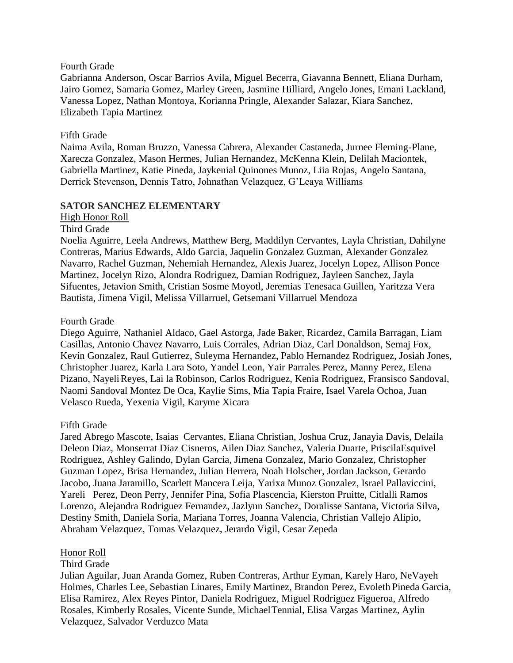### Fourth Grade

Gabrianna Anderson, Oscar Barrios Avila, Miguel Becerra, Giavanna Bennett, Eliana Durham, Jairo Gomez, Samaria Gomez, Marley Green, Jasmine Hilliard, Angelo Jones, Emani Lackland, Vanessa Lopez, Nathan Montoya, Korianna Pringle, Alexander Salazar, Kiara Sanchez, Elizabeth Tapia Martinez

# Fifth Grade

Naima Avila, Roman Bruzzo, Vanessa Cabrera, Alexander Castaneda, Jurnee Fleming-Plane, Xarecza Gonzalez, Mason Hermes, Julian Hernandez, McKenna Klein, Delilah Maciontek, Gabriella Martinez, Katie Pineda, Jaykenial Quinones Munoz, Liia Rojas, Angelo Santana, Derrick Stevenson, Dennis Tatro, Johnathan Velazquez, G'Leaya Williams

# **SATOR SANCHEZ ELEMENTARY**

### High Honor Roll

Third Grade

Noelia Aguirre, Leela Andrews, Matthew Berg, Maddilyn Cervantes, Layla Christian, Dahilyne Contreras, Marius Edwards, Aldo Garcia, Jaquelin Gonzalez Guzman, Alexander Gonzalez Navarro, Rachel Guzman, Nehemiah Hernandez, Alexis Juarez, Jocelyn Lopez, Allison Ponce Martinez, Jocelyn Rizo, Alondra Rodriguez, Damian Rodriguez, Jayleen Sanchez, Jayla Sifuentes, Jetavion Smith, Cristian Sosme Moyotl, Jeremias Tenesaca Guillen, Yaritzza Vera Bautista, Jimena Vigil, Melissa Villarruel, Getsemani Villarruel Mendoza

### Fourth Grade

Diego Aguirre, Nathaniel Aldaco, Gael Astorga, Jade Baker, Ricardez, Camila Barragan, Liam Casillas, Antonio Chavez Navarro, Luis Corrales, Adrian Diaz, Carl Donaldson, Semaj Fox, Kevin Gonzalez, Raul Gutierrez, Suleyma Hernandez, Pablo Hernandez Rodriguez, Josiah Jones, Christopher Juarez, Karla Lara Soto, Yandel Leon, Yair Parrales Perez, Manny Perez, Elena Pizano, NayeliReyes, Lai la Robinson, Carlos Rodriguez, Kenia Rodriguez, Fransisco Sandoval, Naomi Sandoval Montez De Oca, Kaylie Sims, Mia Tapia Fraire, Isael Varela Ochoa, Juan Velasco Rueda, Yexenia Vigil, Karyme Xicara

# Fifth Grade

Jared Abrego Mascote, Isaias Cervantes, Eliana Christian, Joshua Cruz, Janayia Davis, Delaila Deleon Diaz, Monserrat Diaz Cisneros, Ailen Diaz Sanchez, Valeria Duarte, PriscilaEsquivel Rodriguez, Ashley Galindo, Dylan Garcia, Jimena Gonzalez, Mario Gonzalez, Christopher Guzman Lopez, Brisa Hernandez, Julian Herrera, Noah Holscher, Jordan Jackson, Gerardo Jacobo, Juana Jaramillo, Scarlett Mancera Leija, Yarixa Munoz Gonzalez, Israel Pallaviccini, Yareli Perez, Deon Perry, Jennifer Pina, Sofia Plascencia, Kierston Pruitte, Citlalli Ramos Lorenzo, Alejandra Rodriguez Fernandez, Jazlynn Sanchez, Doralisse Santana, Victoria Silva, Destiny Smith, Daniela Soria, Mariana Torres, Joanna Valencia, Christian Vallejo Alipio, Abraham Velazquez, Tomas Velazquez, Jerardo Vigil, Cesar Zepeda

# Honor Roll

# Third Grade

Julian Aguilar, Juan Aranda Gomez, Ruben Contreras, Arthur Eyman, Karely Haro, NeVayeh Holmes, Charles Lee, Sebastian Linares, Emily Martinez, Brandon Perez, Evoleth Pineda Garcia, Elisa Ramirez, Alex Reyes Pintor, Daniela Rodriguez, Miguel Rodriguez Figueroa, Alfredo Rosales, Kimberly Rosales, Vicente Sunde, MichaelTennial, Elisa Vargas Martinez, Aylin Velazquez, Salvador Verduzco Mata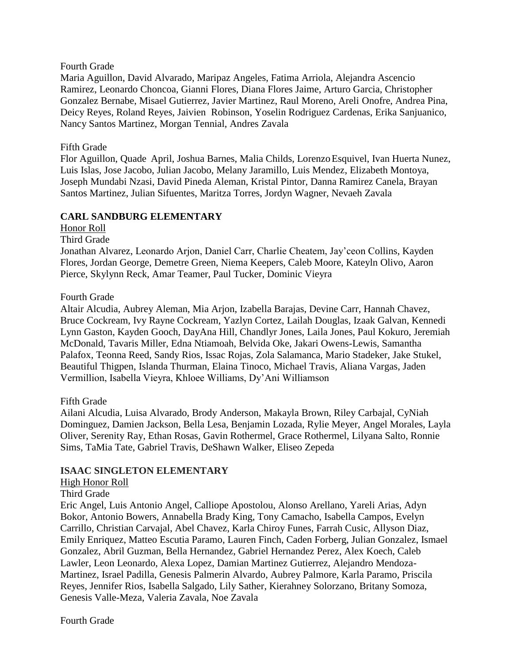# Fourth Grade

Maria Aguillon, David Alvarado, Maripaz Angeles, Fatima Arriola, Alejandra Ascencio Ramirez, Leonardo Choncoa, Gianni Flores, Diana Flores Jaime, Arturo Garcia, Christopher Gonzalez Bernabe, Misael Gutierrez, Javier Martinez, Raul Moreno, Areli Onofre, Andrea Pina, Deicy Reyes, Roland Reyes, Jaivien Robinson, Yoselin Rodriguez Cardenas, Erika Sanjuanico, Nancy Santos Martinez, Morgan Tennial, Andres Zavala

# Fifth Grade

Flor Aguillon, Quade April, Joshua Barnes, Malia Childs, LorenzoEsquivel, Ivan Huerta Nunez, Luis Islas, Jose Jacobo, Julian Jacobo, Melany Jaramillo, Luis Mendez, Elizabeth Montoya, Joseph Mundabi Nzasi, David Pineda Aleman, Kristal Pintor, Danna Ramirez Canela, Brayan Santos Martinez, Julian Sifuentes, Maritza Torres, Jordyn Wagner, Nevaeh Zavala

# **CARL SANDBURG ELEMENTARY**

Honor Roll

### Third Grade

Jonathan Alvarez, Leonardo Arjon, Daniel Carr, Charlie Cheatem, Jay'ceon Collins, Kayden Flores, Jordan George, Demetre Green, Niema Keepers, Caleb Moore, Kateyln Olivo, Aaron Pierce, Skylynn Reck, Amar Teamer, Paul Tucker, Dominic Vieyra

# Fourth Grade

Altair Alcudia, Aubrey Aleman, Mia Arjon, Izabella Barajas, Devine Carr, Hannah Chavez, Bruce Cockream, Ivy Rayne Cockream, Yazlyn Cortez, Lailah Douglas, Izaak Galvan, Kennedi Lynn Gaston, Kayden Gooch, DayAna Hill, Chandlyr Jones, Laila Jones, Paul Kokuro, Jeremiah McDonald, Tavaris Miller, Edna Ntiamoah, Belvida Oke, Jakari Owens-Lewis, Samantha Palafox, Teonna Reed, Sandy Rios, Issac Rojas, Zola Salamanca, Mario Stadeker, Jake Stukel, Beautiful Thigpen, Islanda Thurman, Elaina Tinoco, Michael Travis, Aliana Vargas, Jaden Vermillion, Isabella Vieyra, Khloee Williams, Dy'Ani Williamson

# Fifth Grade

Ailani Alcudia, Luisa Alvarado, Brody Anderson, Makayla Brown, Riley Carbajal, CyNiah Dominguez, Damien Jackson, Bella Lesa, Benjamin Lozada, Rylie Meyer, Angel Morales, Layla Oliver, Serenity Ray, Ethan Rosas, Gavin Rothermel, Grace Rothermel, Lilyana Salto, Ronnie Sims, TaMia Tate, Gabriel Travis, DeShawn Walker, Eliseo Zepeda

# **ISAAC SINGLETON ELEMENTARY**

# High Honor Roll

Third Grade

Eric Angel, Luis Antonio Angel, Calliope Apostolou, Alonso Arellano, Yareli Arias, Adyn Bokor, Antonio Bowers, Annabella Brady King, Tony Camacho, Isabella Campos, Evelyn Carrillo, Christian Carvajal, Abel Chavez, Karla Chiroy Funes, Farrah Cusic, Allyson Diaz, Emily Enriquez, Matteo Escutia Paramo, Lauren Finch, Caden Forberg, Julian Gonzalez, Ismael Gonzalez, Abril Guzman, Bella Hernandez, Gabriel Hernandez Perez, Alex Koech, Caleb Lawler, Leon Leonardo, Alexa Lopez, Damian Martinez Gutierrez, Alejandro Mendoza-Martinez, Israel Padilla, Genesis Palmerin Alvardo, Aubrey Palmore, Karla Paramo, Priscila Reyes, Jennifer Rios, Isabella Salgado, Lily Sather, Kierahney Solorzano, Britany Somoza, Genesis Valle-Meza, Valeria Zavala, Noe Zavala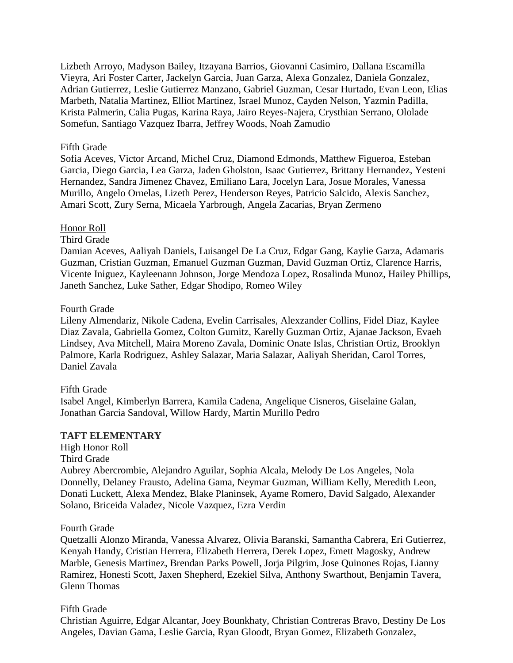Lizbeth Arroyo, Madyson Bailey, Itzayana Barrios, Giovanni Casimiro, Dallana Escamilla Vieyra, Ari Foster Carter, Jackelyn Garcia, Juan Garza, Alexa Gonzalez, Daniela Gonzalez, Adrian Gutierrez, Leslie Gutierrez Manzano, Gabriel Guzman, Cesar Hurtado, Evan Leon, Elias Marbeth, Natalia Martinez, Elliot Martinez, Israel Munoz, Cayden Nelson, Yazmin Padilla, Krista Palmerin, Calia Pugas, Karina Raya, Jairo Reyes-Najera, Crysthian Serrano, Ololade Somefun, Santiago Vazquez Ibarra, Jeffrey Woods, Noah Zamudio

### Fifth Grade

Sofia Aceves, Victor Arcand, Michel Cruz, Diamond Edmonds, Matthew Figueroa, Esteban Garcia, Diego Garcia, Lea Garza, Jaden Gholston, Isaac Gutierrez, Brittany Hernandez, Yesteni Hernandez, Sandra Jimenez Chavez, Emiliano Lara, Jocelyn Lara, Josue Morales, Vanessa Murillo, Angelo Ornelas, Lizeth Perez, Henderson Reyes, Patricio Salcido, Alexis Sanchez, Amari Scott, Zury Serna, Micaela Yarbrough, Angela Zacarias, Bryan Zermeno

### Honor Roll

Third Grade

Damian Aceves, Aaliyah Daniels, Luisangel De La Cruz, Edgar Gang, Kaylie Garza, Adamaris Guzman, Cristian Guzman, Emanuel Guzman Guzman, David Guzman Ortiz, Clarence Harris, Vicente Iniguez, Kayleenann Johnson, Jorge Mendoza Lopez, Rosalinda Munoz, Hailey Phillips, Janeth Sanchez, Luke Sather, Edgar Shodipo, Romeo Wiley

### Fourth Grade

Lileny Almendariz, Nikole Cadena, Evelin Carrisales, Alexzander Collins, Fidel Diaz, Kaylee Diaz Zavala, Gabriella Gomez, Colton Gurnitz, Karelly Guzman Ortiz, Ajanae Jackson, Evaeh Lindsey, Ava Mitchell, Maira Moreno Zavala, Dominic Onate Islas, Christian Ortiz, Brooklyn Palmore, Karla Rodriguez, Ashley Salazar, Maria Salazar, Aaliyah Sheridan, Carol Torres, Daniel Zavala

# Fifth Grade

Isabel Angel, Kimberlyn Barrera, Kamila Cadena, Angelique Cisneros, Giselaine Galan, Jonathan Garcia Sandoval, Willow Hardy, Martin Murillo Pedro

# **TAFT ELEMENTARY**

High Honor Roll

Third Grade

Aubrey Abercrombie, Alejandro Aguilar, Sophia Alcala, Melody De Los Angeles, Nola Donnelly, Delaney Frausto, Adelina Gama, Neymar Guzman, William Kelly, Meredith Leon, Donati Luckett, Alexa Mendez, Blake Planinsek, Ayame Romero, David Salgado, Alexander Solano, Briceida Valadez, Nicole Vazquez, Ezra Verdin

#### Fourth Grade

Quetzalli Alonzo Miranda, Vanessa Alvarez, Olivia Baranski, Samantha Cabrera, Eri Gutierrez, Kenyah Handy, Cristian Herrera, Elizabeth Herrera, Derek Lopez, Emett Magosky, Andrew Marble, Genesis Martinez, Brendan Parks Powell, Jorja Pilgrim, Jose Quinones Rojas, Lianny Ramirez, Honesti Scott, Jaxen Shepherd, Ezekiel Silva, Anthony Swarthout, Benjamin Tavera, Glenn Thomas

# Fifth Grade

Christian Aguirre, Edgar Alcantar, Joey Bounkhaty, Christian Contreras Bravo, Destiny De Los Angeles, Davian Gama, Leslie Garcia, Ryan Gloodt, Bryan Gomez, Elizabeth Gonzalez,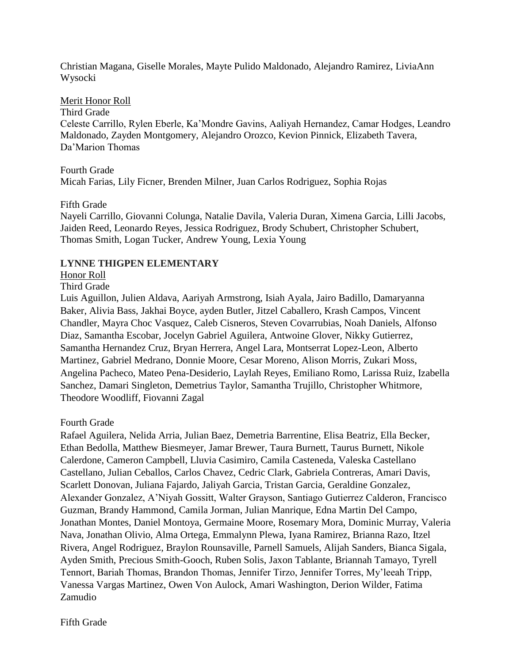Christian Magana, Giselle Morales, Mayte Pulido Maldonado, Alejandro Ramirez, LiviaAnn Wysocki

# Merit Honor Roll

Third Grade

Celeste Carrillo, Rylen Eberle, Ka'Mondre Gavins, Aaliyah Hernandez, Camar Hodges, Leandro Maldonado, Zayden Montgomery, Alejandro Orozco, Kevion Pinnick, Elizabeth Tavera, Da'Marion Thomas

Fourth Grade Micah Farias, Lily Ficner, Brenden Milner, Juan Carlos Rodriguez, Sophia Rojas

# Fifth Grade

Nayeli Carrillo, Giovanni Colunga, Natalie Davila, Valeria Duran, Ximena Garcia, Lilli Jacobs, Jaiden Reed, Leonardo Reyes, Jessica Rodriguez, Brody Schubert, Christopher Schubert, Thomas Smith, Logan Tucker, Andrew Young, Lexia Young

# **LYNNE THIGPEN ELEMENTARY**

Honor Roll

# Third Grade

Luis Aguillon, Julien Aldava, Aariyah Armstrong, Isiah Ayala, Jairo Badillo, Damaryanna Baker, Alivia Bass, Jakhai Boyce, ayden Butler, Jitzel Caballero, Krash Campos, Vincent Chandler, Mayra Choc Vasquez, Caleb Cisneros, Steven Covarrubias, Noah Daniels, Alfonso Diaz, Samantha Escobar, Jocelyn Gabriel Aguilera, Antwoine Glover, Nikky Gutierrez, Samantha Hernandez Cruz, Bryan Herrera, Angel Lara, Montserrat Lopez-Leon, Alberto Martinez, Gabriel Medrano, Donnie Moore, Cesar Moreno, Alison Morris, Zukari Moss, Angelina Pacheco, Mateo Pena-Desiderio, Laylah Reyes, Emiliano Romo, Larissa Ruiz, Izabella Sanchez, Damari Singleton, Demetrius Taylor, Samantha Trujillo, Christopher Whitmore, Theodore Woodliff, Fiovanni Zagal

Fourth Grade

Rafael Aguilera, Nelida Arria, Julian Baez, Demetria Barrentine, Elisa Beatriz, Ella Becker, Ethan Bedolla, Matthew Biesmeyer, Jamar Brewer, Taura Burnett, Taurus Burnett, Nikole Calerdone, Cameron Campbell, Lluvia Casimiro, Camila Casteneda, Valeska Castellano Castellano, Julian Ceballos, Carlos Chavez, Cedric Clark, Gabriela Contreras, Amari Davis, Scarlett Donovan, Juliana Fajardo, Jaliyah Garcia, Tristan Garcia, Geraldine Gonzalez, Alexander Gonzalez, A'Niyah Gossitt, Walter Grayson, Santiago Gutierrez Calderon, Francisco Guzman, Brandy Hammond, Camila Jorman, Julian Manrique, Edna Martin Del Campo, Jonathan Montes, Daniel Montoya, Germaine Moore, Rosemary Mora, Dominic Murray, Valeria Nava, Jonathan Olivio, Alma Ortega, Emmalynn Plewa, Iyana Ramirez, Brianna Razo, Itzel Rivera, Angel Rodriguez, Braylon Rounsaville, Parnell Samuels, Alijah Sanders, Bianca Sigala, Ayden Smith, Precious Smith-Gooch, Ruben Solis, Jaxon Tablante, Briannah Tamayo, Tyrell Tennort, Bariah Thomas, Brandon Thomas, Jennifer Tirzo, Jennifer Torres, My'leeah Tripp, Vanessa Vargas Martinez, Owen Von Aulock, Amari Washington, Derion Wilder, Fatima Zamudio

Fifth Grade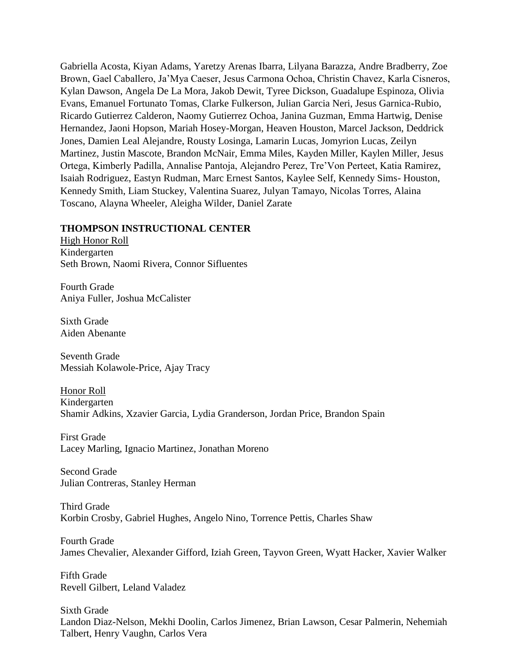Gabriella Acosta, Kiyan Adams, Yaretzy Arenas Ibarra, Lilyana Barazza, Andre Bradberry, Zoe Brown, Gael Caballero, Ja'Mya Caeser, Jesus Carmona Ochoa, Christin Chavez, Karla Cisneros, Kylan Dawson, Angela De La Mora, Jakob Dewit, Tyree Dickson, Guadalupe Espinoza, Olivia Evans, Emanuel Fortunato Tomas, Clarke Fulkerson, Julian Garcia Neri, Jesus Garnica-Rubio, Ricardo Gutierrez Calderon, Naomy Gutierrez Ochoa, Janina Guzman, Emma Hartwig, Denise Hernandez, Jaoni Hopson, Mariah Hosey-Morgan, Heaven Houston, Marcel Jackson, Deddrick Jones, Damien Leal Alejandre, Rousty Losinga, Lamarin Lucas, Jomyrion Lucas, Zeilyn Martinez, Justin Mascote, Brandon McNair, Emma Miles, Kayden Miller, Kaylen Miller, Jesus Ortega, Kimberly Padilla, Annalise Pantoja, Alejandro Perez, Tre'Von Perteet, Katia Ramirez, Isaiah Rodriguez, Eastyn Rudman, Marc Ernest Santos, Kaylee Self, Kennedy Sims- Houston, Kennedy Smith, Liam Stuckey, Valentina Suarez, Julyan Tamayo, Nicolas Torres, Alaina Toscano, Alayna Wheeler, Aleigha Wilder, Daniel Zarate

### **THOMPSON INSTRUCTIONAL CENTER**

High Honor Roll Kindergarten Seth Brown, Naomi Rivera, Connor Sifluentes

Fourth Grade Aniya Fuller, Joshua McCalister

Sixth Grade Aiden Abenante

Seventh Grade Messiah Kolawole-Price, Ajay Tracy

Honor Roll Kindergarten Shamir Adkins, Xzavier Garcia, Lydia Granderson, Jordan Price, Brandon Spain

First Grade Lacey Marling, Ignacio Martinez, Jonathan Moreno

Second Grade Julian Contreras, Stanley Herman

Third Grade Korbin Crosby, Gabriel Hughes, Angelo Nino, Torrence Pettis, Charles Shaw

Fourth Grade James Chevalier, Alexander Gifford, Iziah Green, Tayvon Green, Wyatt Hacker, Xavier Walker

Fifth Grade Revell Gilbert, Leland Valadez

Sixth Grade Landon Diaz-Nelson, Mekhi Doolin, Carlos Jimenez, Brian Lawson, Cesar Palmerin, Nehemiah Talbert, Henry Vaughn, Carlos Vera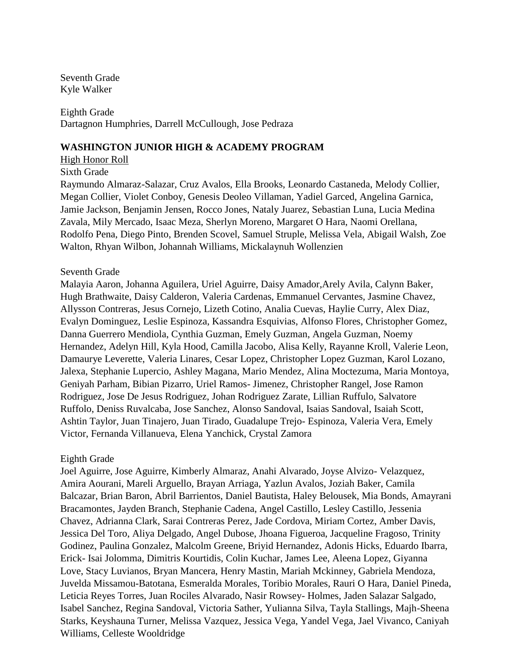Seventh Grade Kyle Walker

Eighth Grade Dartagnon Humphries, Darrell McCullough, Jose Pedraza

# **WASHINGTON JUNIOR HIGH & ACADEMY PROGRAM**

High Honor Roll

Sixth Grade

Raymundo Almaraz-Salazar, Cruz Avalos, Ella Brooks, Leonardo Castaneda, Melody Collier, Megan Collier, Violet Conboy, Genesis Deoleo Villaman, Yadiel Garced, Angelina Garnica, Jamie Jackson, Benjamin Jensen, Rocco Jones, Nataly Juarez, Sebastian Luna, Lucia Medina Zavala, Mily Mercado, Isaac Meza, Sherlyn Moreno, Margaret O Hara, Naomi Orellana, Rodolfo Pena, Diego Pinto, Brenden Scovel, Samuel Struple, Melissa Vela, Abigail Walsh, Zoe Walton, Rhyan Wilbon, Johannah Williams, Mickalaynuh Wollenzien

### Seventh Grade

Malayia Aaron, Johanna Aguilera, Uriel Aguirre, Daisy Amador,Arely Avila, Calynn Baker, Hugh Brathwaite, Daisy Calderon, Valeria Cardenas, Emmanuel Cervantes, Jasmine Chavez, Allysson Contreras, Jesus Cornejo, Lizeth Cotino, Analia Cuevas, Haylie Curry, Alex Diaz, Evalyn Dominguez, Leslie Espinoza, Kassandra Esquivias, Alfonso Flores, Christopher Gomez, Danna Guerrero Mendiola, Cynthia Guzman, Emely Guzman, Angela Guzman, Noemy Hernandez, Adelyn Hill, Kyla Hood, Camilla Jacobo, Alisa Kelly, Rayanne Kroll, Valerie Leon, Damaurye Leverette, Valeria Linares, Cesar Lopez, Christopher Lopez Guzman, Karol Lozano, Jalexa, Stephanie Lupercio, Ashley Magana, Mario Mendez, Alina Moctezuma, Maria Montoya, Geniyah Parham, Bibian Pizarro, Uriel Ramos- Jimenez, Christopher Rangel, Jose Ramon Rodriguez, Jose De Jesus Rodriguez, Johan Rodriguez Zarate, Lillian Ruffulo, Salvatore Ruffolo, Deniss Ruvalcaba, Jose Sanchez, Alonso Sandoval, Isaias Sandoval, Isaiah Scott, Ashtin Taylor, Juan Tinajero, Juan Tirado, Guadalupe Trejo- Espinoza, Valeria Vera, Emely Victor, Fernanda Villanueva, Elena Yanchick, Crystal Zamora

#### Eighth Grade

Joel Aguirre, Jose Aguirre, Kimberly Almaraz, Anahi Alvarado, Joyse Alvizo- Velazquez, Amira Aourani, Mareli Arguello, Brayan Arriaga, Yazlun Avalos, Joziah Baker, Camila Balcazar, Brian Baron, Abril Barrientos, Daniel Bautista, Haley Belousek, Mia Bonds, Amayrani Bracamontes, Jayden Branch, Stephanie Cadena, Angel Castillo, Lesley Castillo, Jessenia Chavez, Adrianna Clark, Sarai Contreras Perez, Jade Cordova, Miriam Cortez, Amber Davis, Jessica Del Toro, Aliya Delgado, Angel Dubose, Jhoana Figueroa, Jacqueline Fragoso, Trinity Godinez, Paulina Gonzalez, Malcolm Greene, Briyid Hernandez, Adonis Hicks, Eduardo Ibarra, Erick- Isai Jolomma, Dimitris Kourtidis, Colin Kuchar, James Lee, Aleena Lopez, Giyanna Love, Stacy Luvianos, Bryan Mancera, Henry Mastin, Mariah Mckinney, Gabriela Mendoza, Juvelda Missamou-Batotana, Esmeralda Morales, Toribio Morales, Rauri O Hara, Daniel Pineda, Leticia Reyes Torres, Juan Rociles Alvarado, Nasir Rowsey- Holmes, Jaden Salazar Salgado, Isabel Sanchez, Regina Sandoval, Victoria Sather, Yulianna Silva, Tayla Stallings, Majh-Sheena Starks, Keyshauna Turner, Melissa Vazquez, Jessica Vega, Yandel Vega, Jael Vivanco, Caniyah Williams, Celleste Wooldridge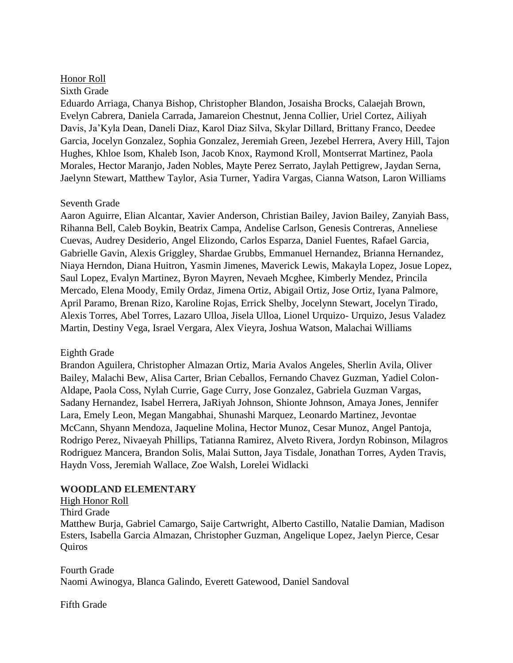# Honor Roll

# Sixth Grade

Eduardo Arriaga, Chanya Bishop, Christopher Blandon, Josaisha Brocks, Calaejah Brown, Evelyn Cabrera, Daniela Carrada, Jamareion Chestnut, Jenna Collier, Uriel Cortez, Ailiyah Davis, Ja'Kyla Dean, Daneli Diaz, Karol Diaz Silva, Skylar Dillard, Brittany Franco, Deedee Garcia, Jocelyn Gonzalez, Sophia Gonzalez, Jeremiah Green, Jezebel Herrera, Avery Hill, Tajon Hughes, Khloe Isom, Khaleb Ison, Jacob Knox, Raymond Kroll, Montserrat Martinez, Paola Morales, Hector Maranjo, Jaden Nobles, Mayte Perez Serrato, Jaylah Pettigrew, Jaydan Serna, Jaelynn Stewart, Matthew Taylor, Asia Turner, Yadira Vargas, Cianna Watson, Laron Williams

# Seventh Grade

Aaron Aguirre, Elian Alcantar, Xavier Anderson, Christian Bailey, Javion Bailey, Zanyiah Bass, Rihanna Bell, Caleb Boykin, Beatrix Campa, Andelise Carlson, Genesis Contreras, Anneliese Cuevas, Audrey Desiderio, Angel Elizondo, Carlos Esparza, Daniel Fuentes, Rafael Garcia, Gabrielle Gavin, Alexis Griggley, Shardae Grubbs, Emmanuel Hernandez, Brianna Hernandez, Niaya Herndon, Diana Huitron, Yasmin Jimenes, Maverick Lewis, Makayla Lopez, Josue Lopez, Saul Lopez, Evalyn Martinez, Byron Mayren, Nevaeh Mcghee, Kimberly Mendez, Princila Mercado, Elena Moody, Emily Ordaz, Jimena Ortiz, Abigail Ortiz, Jose Ortiz, Iyana Palmore, April Paramo, Brenan Rizo, Karoline Rojas, Errick Shelby, Jocelynn Stewart, Jocelyn Tirado, Alexis Torres, Abel Torres, Lazaro Ulloa, Jisela Ulloa, Lionel Urquizo- Urquizo, Jesus Valadez Martin, Destiny Vega, Israel Vergara, Alex Vieyra, Joshua Watson, Malachai Williams

# Eighth Grade

Brandon Aguilera, Christopher Almazan Ortiz, Maria Avalos Angeles, Sherlin Avila, Oliver Bailey, Malachi Bew, Alisa Carter, Brian Ceballos, Fernando Chavez Guzman, Yadiel Colon-Aldape, Paola Coss, Nylah Currie, Gage Curry, Jose Gonzalez, Gabriela Guzman Vargas, Sadany Hernandez, Isabel Herrera, JaRiyah Johnson, Shionte Johnson, Amaya Jones, Jennifer Lara, Emely Leon, Megan Mangabhai, Shunashi Marquez, Leonardo Martinez, Jevontae McCann, Shyann Mendoza, Jaqueline Molina, Hector Munoz, Cesar Munoz, Angel Pantoja, Rodrigo Perez, Nivaeyah Phillips, Tatianna Ramirez, Alveto Rivera, Jordyn Robinson, Milagros Rodriguez Mancera, Brandon Solis, Malai Sutton, Jaya Tisdale, Jonathan Torres, Ayden Travis, Haydn Voss, Jeremiah Wallace, Zoe Walsh, Lorelei Widlacki

# **WOODLAND ELEMENTARY**

High Honor Roll Third Grade Matthew Burja, Gabriel Camargo, Saije Cartwright, Alberto Castillo, Natalie Damian, Madison Esters, Isabella Garcia Almazan, Christopher Guzman, Angelique Lopez, Jaelyn Pierce, Cesar Quiros

Fourth Grade Naomi Awinogya, Blanca Galindo, Everett Gatewood, Daniel Sandoval

Fifth Grade